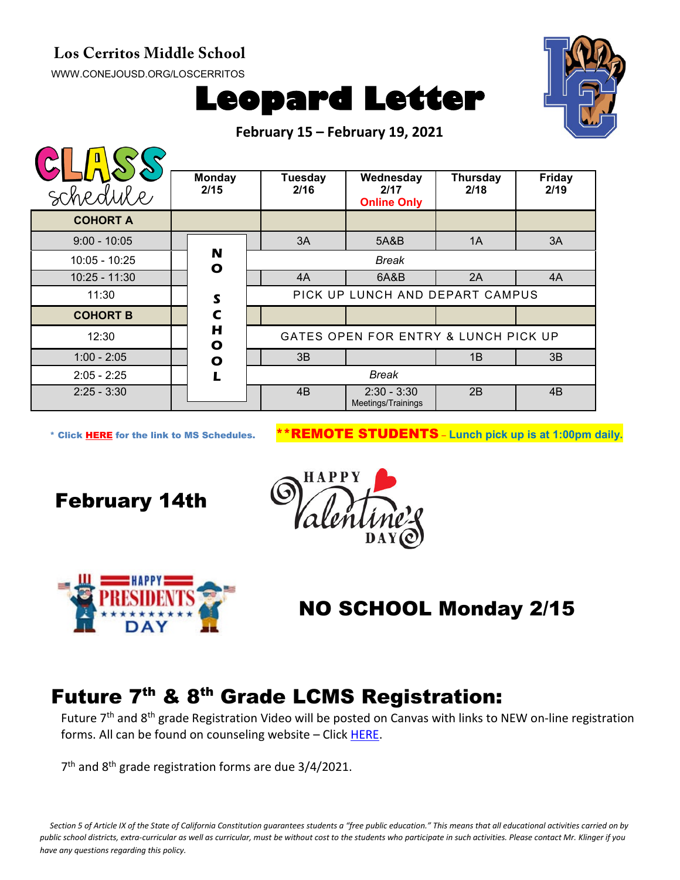## **Los Cerritos Middle School**

[WWW.CONEJOUSD.ORG/LOSCERRITOS](http://www.conejousd.org/LOSCERRITOS)





**February 15 – February 19, 2021**

| schedule        | <b>Monday</b><br>2/15                                     | <b>Tuesday</b><br>2/16 | Wednesday<br>2/17<br><b>Online Only</b> | <b>Thursday</b><br>2/18 | <b>Friday</b><br>2/19 |
|-----------------|-----------------------------------------------------------|------------------------|-----------------------------------------|-------------------------|-----------------------|
| <b>COHORT A</b> |                                                           |                        |                                         |                         |                       |
| $9:00 - 10:05$  |                                                           | 3A                     | 5A&B                                    | 1A                      | 3A                    |
| $10:05 - 10:25$ | N<br><b>Break</b><br>$\mathbf{o}$                         |                        |                                         |                         |                       |
| $10:25 - 11:30$ |                                                           | 4A                     | 6A&B                                    | 2A                      | 4A                    |
| 11:30           | PICK UP LUNCH AND DEPART CAMPUS<br>$\mathsf{s}$           |                        |                                         |                         |                       |
| <b>COHORT B</b> | $\mathbf C$                                               |                        |                                         |                         |                       |
| 12:30           | Н<br>GATES OPEN FOR ENTRY & LUNCH PICK UP<br>$\mathbf{o}$ |                        |                                         |                         |                       |
| $1:00 - 2:05$   | O                                                         | 3B                     |                                         | 1B                      | 3B                    |
| $2:05 - 2:25$   | п                                                         | <b>Break</b>           |                                         |                         |                       |
| $2:25 - 3:30$   |                                                           | 4B                     | $2:30 - 3:30$<br>Meetings/Trainings     | 2B                      | 4B                    |

\* Click [HERE](https://www.conejousd.org/Portals/0/Middle%20School%20Monthly%20Calendar%20_FNLl.pdf?ver=2020-11-04-105638-860) for the link to MS Schedules. \*\*REMOTE STUDENTS – **Lunch pick up is at 1:00pm daily.**

February 14th





## NO SCHOOL Monday 2/15

## Future 7<sup>th</sup> & 8<sup>th</sup> Grade LCMS Registration:

Future 7<sup>th</sup> and 8<sup>th</sup> grade Registration Video will be posted on Canvas with links to NEW on-line registration forms. All can be found on counseling website – Click [HERE.](https://www.lcmscounseling.org/7th-and-8th-grade-registration--forms.html)

7<sup>th</sup> and 8<sup>th</sup> grade registration forms are due 3/4/2021.

*Section 5 of Article IX of the State of California Constitution guarantees students a "free public education." This means that all educational activities carried on by public school districts, extra-curricular as well as curricular, must be without cost to the students who participate in such activities. Please contact Mr. Klinger if you have any questions regarding this policy.*